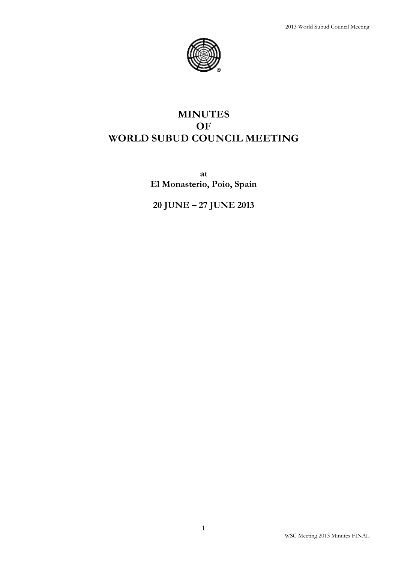

# **MINUTES OF WORLD SUBUD COUNCIL MEETING**

**at El Monasterio, Poio, Spain**

**20 JUNE – 27 JUNE 2013**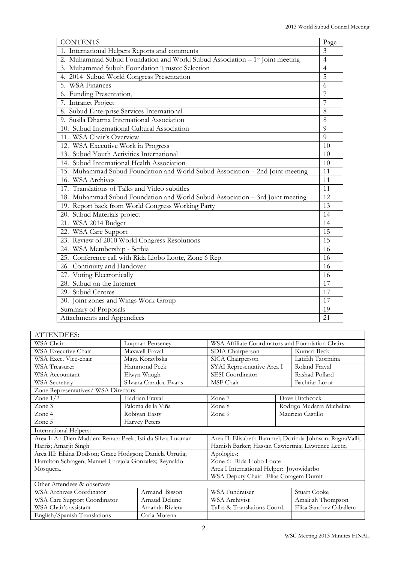| <b>CONTENTS</b>                                                                          | Page           |
|------------------------------------------------------------------------------------------|----------------|
| 1. International Helpers Reports and comments                                            | $\overline{3}$ |
| 2. Muhammad Subud Foundation and World Subud Association – 1 <sup>st</sup> Joint meeting | $\overline{4}$ |
| 3. Muhammad Subuh Foundation Trustee Selection                                           | $\overline{4}$ |
| 4. 2014 Subud World Congress Presentation                                                | 5              |
| 5. WSA Finances                                                                          | 6              |
| 6. Funding Presentation,                                                                 | 7              |
| 7. Intranet Project                                                                      | 7              |
| 8. Subud Enterprise Services International                                               | 8              |
| 9. Susila Dharma International Association                                               | 8              |
| 10. Subud International Cultural Association                                             | 9              |
| 11. WSA Chair's Overview                                                                 | $\overline{Q}$ |
| 12. WSA Executive Work in Progress                                                       | 10             |
| 13. Subud Youth Activities International                                                 | 10             |
| 14. Subud International Health Association                                               | 10             |
| 15. Muhammad Subud Foundation and World Subud Association – 2nd Joint meeting            | 11             |
| 16. WSA Archives                                                                         | 11             |
| 17. Translations of Talks and Video subtitles                                            | 11             |
| 18. Muhammad Subud Foundation and World Subud Association - 3rd Joint meeting            | 12             |
| 19. Report back from World Congress Working Party                                        | 13             |
| 20. Subud Materials project                                                              | 14             |
| 21. WSA 2014 Budget                                                                      | 14             |
| 22. WSA Care Support                                                                     | 15             |
| 23. Review of 2010 World Congress Resolutions                                            | 15             |
| 24. WSA Membership - Serbia                                                              | 16             |
| 25. Conference call with Rida Liobo Loote, Zone 6 Rep                                    | 16             |
| 26. Continuity and Handover                                                              | 16             |
| 27. Voting Electronically                                                                | 16             |
| 28. Subud on the Internet                                                                | 17             |
| 29. Subud Centres                                                                        | 17             |
| 30. Joint zones and Wings Work Group                                                     | 17             |
| Summary of Proposals                                                                     | 19             |
| Attachments and Appendices                                                               | 21             |

| <b>ATTENDEES:</b>                                          |                                    |                                          |                                                         |  |
|------------------------------------------------------------|------------------------------------|------------------------------------------|---------------------------------------------------------|--|
| WSA Chair                                                  | Luqman Penseney                    |                                          | WSA Affiliate Coordinators and Foundation Chairs:       |  |
| WSA Executive Chair                                        | Maxwell Fraval                     | SDIA Chairperson                         | Kumari Beck                                             |  |
| WSA Exec. Vice-chair                                       | Maya Korzybska                     | SICA Chairperson                         | Latifah Taormina                                        |  |
| <b>WSA Treasurer</b>                                       | Hammond Peek                       | SYAI Representative Area I               | Roland Fraval                                           |  |
| WSA Accountant                                             | Elwyn Waugh                        | SESI Coordinator                         | Rashad Pollard                                          |  |
| WSA Secretary                                              | Silvana Caradoc Evans<br>MSF Chair |                                          | Bachtiar Lorot                                          |  |
| Zone Representatives/ WSA Directors:                       |                                    |                                          |                                                         |  |
| Zone $1/2$<br>Hadrian Fraval                               |                                    | Zone 7                                   | Dave Hitchcock                                          |  |
| Zone 3                                                     | Paloma de la Viña                  | Zone 8                                   | Rodrigo Mudarra Michelina                               |  |
| Zone 4                                                     | Robiyan Easty                      | Zone $9$                                 | Mauricio Castillo                                       |  |
| Zone 5                                                     | <b>Harvey Peters</b>               |                                          |                                                         |  |
| <b>International Helpers:</b>                              |                                    |                                          |                                                         |  |
| Area I: An Dien Madden; Renata Peek; Isti da Silva; Luqman |                                    |                                          | Area II: Elisabeth Bammel; Dorinda Johnson; RagnaValli; |  |
| Harris; Amarjit Singh                                      |                                    |                                          | Hamish Barker; Hassan Czwiertnia; Lawrence Leetz;       |  |
| Area III: Elaina Dodson; Grace Hodgson; Daniela Urrutia;   |                                    | Apologies:                               |                                                         |  |
| Hamilton Schragen; Manuel Urrejola Gonzalez; Reynaldo      |                                    | Zone 6: Rida Liobo Loote                 |                                                         |  |
| Mosquera.                                                  |                                    | Area I International Helper: Joyowidarbo |                                                         |  |
|                                                            |                                    | WSA Deputy Chair: Elias Coragem Dumit    |                                                         |  |
| Other Attendees & observers                                |                                    |                                          |                                                         |  |
| <b>WSA Archives Coordinator</b>                            | Armand Bisson                      | WSA Fundraiser                           | <b>Stuart Cooke</b>                                     |  |
| WSA Care Support Coordinator                               | Arnaud Delune                      | <b>WSA Archivist</b>                     | Amalijah Thompson                                       |  |
| WSA Chair's assistant                                      | Amanda Riviera                     | Talks & Translations Coord.              | Elisa Sanchez Caballero                                 |  |
| English/Spanish Translations                               | Carla Morena                       |                                          |                                                         |  |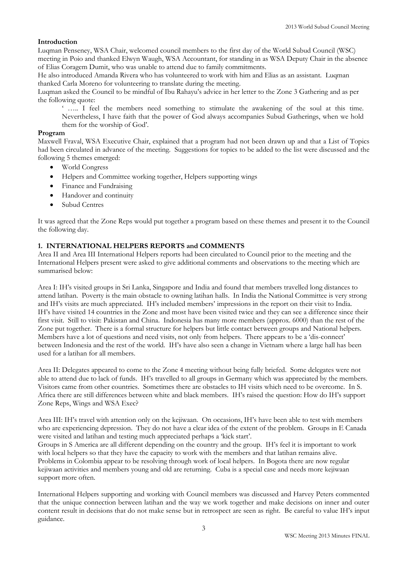# **Introduction**

Luqman Penseney, WSA Chair, welcomed council members to the first day of the World Subud Council (WSC) meeting in Poio and thanked Elwyn Waugh, WSA Accountant, for standing in as WSA Deputy Chair in the absence of Elias Coragem Dumit, who was unable to attend due to family commitments.

He also introduced Amanda Rivera who has volunteered to work with him and Elias as an assistant. Luqman thanked Carla Moreno for volunteering to translate during the meeting.

Luqman asked the Council to be mindful of Ibu Rahayu's advice in her letter to the Zone 3 Gathering and as per the following quote:

' ….. I feel the members need something to stimulate the awakening of the soul at this time. Nevertheless, I have faith that the power of God always accompanies Subud Gatherings, when we hold them for the worship of God'.

## **Program**

Maxwell Fraval, WSA Executive Chair, explained that a program had not been drawn up and that a List of Topics had been circulated in advance of the meeting. Suggestions for topics to be added to the list were discussed and the following 5 themes emerged:

- World Congress
- Helpers and Committee working together, Helpers supporting wings
- Finance and Fundraising
- Handover and continuity
- Subud Centres

It was agreed that the Zone Reps would put together a program based on these themes and present it to the Council the following day.

# **1. INTERNATIONAL HELPERS REPORTS and COMMENTS**

Area II and Area III International Helpers reports had been circulated to Council prior to the meeting and the International Helpers present were asked to give additional comments and observations to the meeting which are summarised below:

Area I: IH's visited groups in Sri Lanka, Singapore and India and found that members travelled long distances to attend latihan. Poverty is the main obstacle to owning latihan halls. In India the National Committee is very strong and IH's visits are much appreciated. IH's included members' impressions in the report on their visit to India. IH's have visited 14 countries in the Zone and most have been visited twice and they can see a difference since their first visit. Still to visit: Pakistan and China. Indonesia has many more members (approx. 6000) than the rest of the Zone put together. There is a formal structure for helpers but little contact between groups and National helpers. Members have a lot of questions and need visits, not only from helpers. There appears to be a 'dis-connect' between Indonesia and the rest of the world. IH's have also seen a change in Vietnam where a large hall has been used for a latihan for all members.

Area II: Delegates appeared to come to the Zone 4 meeting without being fully briefed. Some delegates were not able to attend due to lack of funds. IH's travelled to all groups in Germany which was appreciated by the members. Visitors came from other countries. Sometimes there are obstacles to IH visits which need to be overcome. In S. Africa there are still differences between white and black members. IH's raised the question: How do IH's support Zone Reps, Wings and WSA Exec?

Area III: IH's travel with attention only on the kejiwaan. On occasions, IH's have been able to test with members who are experiencing depression. They do not have a clear idea of the extent of the problem. Groups in E Canada were visited and latihan and testing much appreciated perhaps a 'kick start'.

Groups in S America are all different depending on the country and the group. IH's feel it is important to work with local helpers so that they have the capacity to work with the members and that latihan remains alive. Problems in Colombia appear to be resolving through work of local helpers. In Bogota there are now regular kejiwaan activities and members young and old are returning. Cuba is a special case and needs more kejiwaan support more often.

International Helpers supporting and working with Council members was discussed and Harvey Peters commented that the unique connection between latihan and the way we work together and make decisions on inner and outer content result in decisions that do not make sense but in retrospect are seen as right. Be careful to value IH's input guidance.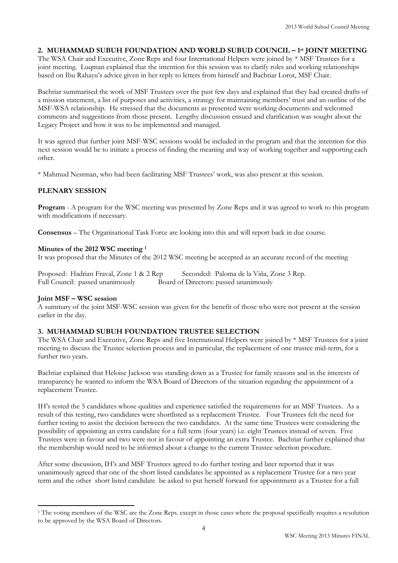# **2. MUHAMMAD SUBUH FOUNDATION AND WORLD SUBUD COUNCIL – 1 st JOINT MEETING**

The WSA Chair and Executive, Zone Reps and four International Helpers were joined by \* MSF Trustees for a joint meeting. Luqman explained that the intention for this session was to clarify roles and working relationships based on Ibu Rahayu's advice given in her reply to letters from himself and Bachtiar Lorot, MSF Chair.

Bachtiar summarised the work of MSF Trustees over the past few days and explained that they had created drafts of a mission statement, a list of purposes and activities, a strategy for maintaining members' trust and an outline of the MSF-WSA relationship. He stressed that the documents as presented were working documents and welcomed comments and suggestions from those present. Lengthy discussion ensued and clarification was sought about the Legacy Project and how it was to be implemented and managed.

It was agreed that further joint MSF-WSC sessions would be included in the program and that the intention for this next session would be to initiate a process of finding the meaning and way of working together and supporting each other.

\* Mahmud Nestman, who had been facilitating MSF Trustees' work, was also present at this session.

# **PLENARY SESSION**

**Program** - A program for the WSC meeting was presented by Zone Reps and it was agreed to work to this program with modifications if necessary.

**Consensus** – The Organisational Task Force are looking into this and will report back in due course.

# **Minutes of the 2012 WSC meeting <sup>1</sup>**

It was proposed that the Minutes of the 2012 WSC meeting be accepted as an accurate record of the meeting

Proposed: Hadrian Fraval, Zone 1 & 2 Rep Seconded: Paloma de la Viña, Zone 3 Rep. Full Council: passed unanimously Board of Directors: passed unanimously

## **Joint MSF – WSC session**

**.** 

A summary of the joint MSF-WSC session was given for the benefit of those who were not present at the session earlier in the day.

# **3. MUHAMMAD SUBUH FOUNDATION TRUSTEE SELECTION**

The WSA Chair and Executive, Zone Reps and five International Helpers were joined by \* MSF Trustees for a joint meeting to discuss the Trustee selection process and in particular, the replacement of one trustee mid-term, for a further two years.

Bachtiar explained that Heloise Jackson was standing down as a Trustee for family reasons and in the interests of transparency he wanted to inform the WSA Board of Directors of the situation regarding the appointment of a replacement Trustee.

IH's tested the 5 candidates whose qualities and experience satisfied the requirements for an MSF Trustees. As a result of this testing, two candidates were shortlisted as a replacement Trustee. Four Trustees felt the need for further testing to assist the decision between the two candidates. At the same time Trustees were considering the possibility of appointing an extra candidate for a full term (four years) i.e. eight Trustees instead of seven. Five Trustees were in favour and two were not in favour of appointing an extra Trustee. Bachtiar further explained that the membership would need to be informed about a change to the current Trustee selection procedure.

After some discussion, IH's and MSF Trustees agreed to do further testing and later reported that it was unanimously agreed that one of the short listed candidates be appointed as a replacement Trustee for a two year term and the other short listed candidate be asked to put herself forward for appointment as a Trustee for a full

<sup>1</sup> The voting members of the WSC are the Zone Reps. except in those cases where the proposal specifically requires a resolution to be approved by the WSA Board of Directors.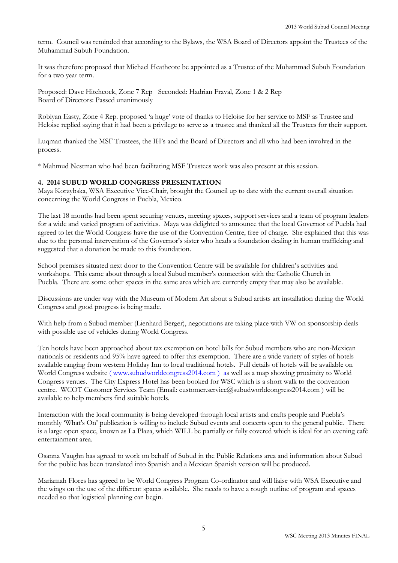term. Council was reminded that according to the Bylaws, the WSA Board of Directors appoint the Trustees of the Muhammad Subuh Foundation.

It was therefore proposed that Michael Heathcote be appointed as a Trustee of the Muhammad Subuh Foundation for a two year term.

Proposed: Dave Hitchcock, Zone 7 Rep Seconded: Hadrian Fraval, Zone 1 & 2 Rep Board of Directors: Passed unanimously

Robiyan Easty, Zone 4 Rep. proposed 'a huge' vote of thanks to Heloise for her service to MSF as Trustee and Heloise replied saying that it had been a privilege to serve as a trustee and thanked all the Trustees for their support.

Luqman thanked the MSF Trustees, the IH's and the Board of Directors and all who had been involved in the process.

\* Mahmud Nestman who had been facilitating MSF Trustees work was also present at this session.

# **4. 2014 SUBUD WORLD CONGRESS PRESENTATION**

Maya Korzybska, WSA Executive Vice-Chair, brought the Council up to date with the current overall situation concerning the World Congress in Puebla, Mexico.

The last 18 months had been spent securing venues, meeting spaces, support services and a team of program leaders for a wide and varied program of activities. Maya was delighted to announce that the local Governor of Puebla had agreed to let the World Congress have the use of the Convention Centre, free of charge. She explained that this was due to the personal intervention of the Governor's sister who heads a foundation dealing in human trafficking and suggested that a donation be made to this foundation.

School premises situated next door to the Convention Centre will be available for children's activities and workshops. This came about through a local Subud member's connection with the Catholic Church in Puebla. There are some other spaces in the same area which are currently empty that may also be available.

Discussions are under way with the Museum of Modern Art about a Subud artists art installation during the World Congress and good progress is being made.

With help from a Subud member (Lienhard Berger), negotiations are taking place with VW on sponsorship deals with possible use of vehicles during World Congress.

Ten hotels have been approached about tax exemption on hotel bills for Subud members who are non-Mexican nationals or residents and 95% have agreed to offer this exemption. There are a wide variety of styles of hotels available ranging from western Holiday Inn to local traditional hotels. Full details of hotels will be available on World Congress website ( [www.subudworldcongress2014.com](http://www.subudworldcongress2014.com/) ) as well as a map showing proximity to World Congress venues. The City Express Hotel has been booked for WSC which is a short walk to the convention centre. WCOT Customer Services Team (Email: customer.service@subudworldcongress2014.com ) will be available to help members find suitable hotels.

Interaction with the local community is being developed through local artists and crafts people and Puebla's monthly 'What's On' publication is willing to include Subud events and concerts open to the general public. There is a large open space, known as La Plaza, which WILL be partially or fully covered which is ideal for an evening café entertainment area.

Osanna Vaughn has agreed to work on behalf of Subud in the Public Relations area and information about Subud for the public has been translated into Spanish and a Mexican Spanish version will be produced.

Mariamah Flores has agreed to be World Congress Program Co-ordinator and will liaise with WSA Executive and the wings on the use of the different spaces available. She needs to have a rough outline of program and spaces needed so that logistical planning can begin.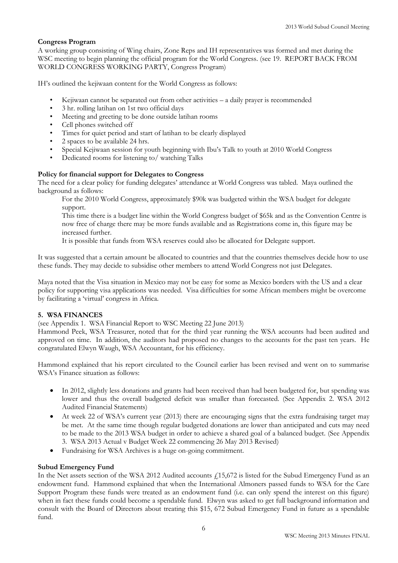## **Congress Program**

A working group consisting of Wing chairs, Zone Reps and IH representatives was formed and met during the WSC meeting to begin planning the official program for the World Congress. (see 19. REPORT BACK FROM WORLD CONGRESS WORKING PARTY, Congress Program)

IH's outlined the kejiwaan content for the World Congress as follows:

- Kejiwaan cannot be separated out from other activities  $-$  a daily prayer is recommended
- 3 hr. rolling latihan on 1st two official days
- Meeting and greeting to be done outside latihan rooms
- Cell phones switched off
- Times for quiet period and start of latihan to be clearly displayed
- 2 spaces to be available 24 hrs.
- Special Kejiwaan session for youth beginning with Ibu's Talk to youth at 2010 World Congress
- Dedicated rooms for listening to/ watching Talks

# **Policy for financial support for Delegates to Congress**

The need for a clear policy for funding delegates' attendance at World Congress was tabled. Maya outlined the background as follows:

For the 2010 World Congress, approximately \$90k was budgeted within the WSA budget for delegate support.

This time there is a budget line within the World Congress budget of \$65k and as the Convention Centre is now free of charge there may be more funds available and as Registrations come in, this figure may be increased further.

It is possible that funds from WSA reserves could also be allocated for Delegate support.

It was suggested that a certain amount be allocated to countries and that the countries themselves decide how to use these funds. They may decide to subsidise other members to attend World Congress not just Delegates.

Maya noted that the Visa situation in Mexico may not be easy for some as Mexico borders with the US and a clear policy for supporting visa applications was needed. Visa difficulties for some African members might be overcome by facilitating a 'virtual' congress in Africa.

## **5. WSA FINANCES**

(see Appendix 1. WSA Financial Report to WSC Meeting 22 June 2013)

Hammond Peek, WSA Treasurer, noted that for the third year running the WSA accounts had been audited and approved on time. In addition, the auditors had proposed no changes to the accounts for the past ten years. He congratulated Elwyn Waugh, WSA Accountant, for his efficiency.

Hammond explained that his report circulated to the Council earlier has been revised and went on to summarise WSA's Finance situation as follows:

- In 2012, slightly less donations and grants had been received than had been budgeted for, but spending was lower and thus the overall budgeted deficit was smaller than forecasted. (See Appendix 2. WSA 2012 Audited Financial Statements)
- At week 22 of WSA's current year (2013) there are encouraging signs that the extra fundraising target may be met. At the same time though regular budgeted donations are lower than anticipated and cuts may need to be made to the 2013 WSA budget in order to achieve a shared goal of a balanced budget. (See Appendix 3. WSA 2013 Actual v Budget Week 22 commencing 26 May 2013 Revised)
- Fundraising for WSA Archives is a huge on-going commitment.

## **Subud Emergency Fund**

In the Net assets section of the WSA 2012 Audited accounts  $f_1$ 15,672 is listed for the Subud Emergency Fund as an endowment fund. Hammond explained that when the International Almoners passed funds to WSA for the Care Support Program these funds were treated as an endowment fund (i.e. can only spend the interest on this figure) when in fact these funds could become a spendable fund. Elwyn was asked to get full background information and consult with the Board of Directors about treating this \$15, 672 Subud Emergency Fund in future as a spendable fund.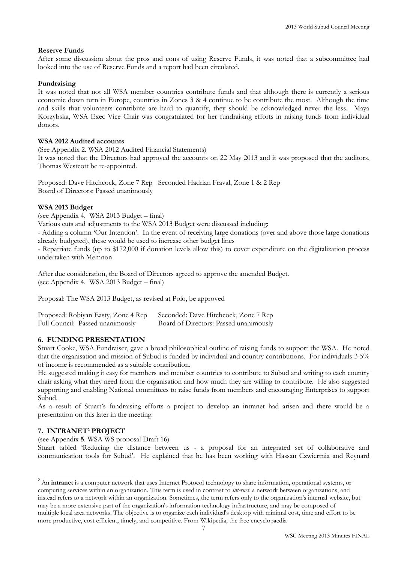#### **Reserve Funds**

After some discussion about the pros and cons of using Reserve Funds, it was noted that a subcommittee had looked into the use of Reserve Funds and a report had been circulated.

#### **Fundraising**

It was noted that not all WSA member countries contribute funds and that although there is currently a serious economic down turn in Europe, countries in Zones 3 & 4 continue to be contribute the most. Although the time and skills that volunteers contribute are hard to quantify, they should be acknowledged never the less. Maya Korzybska, WSA Exec Vice Chair was congratulated for her fundraising efforts in raising funds from individual donors.

#### **WSA 2012 Audited accounts**

(See Appendix 2. WSA 2012 Audited Financial Statements) It was noted that the Directors had approved the accounts on 22 May 2013 and it was proposed that the auditors, Thomas Westcott be re-appointed.

Proposed: Dave Hitchcock, Zone 7 Rep Seconded Hadrian Fraval, Zone 1 & 2 Rep Board of Directors: Passed unanimously

#### **WSA 2013 Budget**

(see Appendix 4. WSA 2013 Budget – final)

Various cuts and adjustments to the WSA 2013 Budget were discussed including:

- Adding a column 'Our Intention'. In the event of receiving large donations (over and above those large donations already budgeted), these would be used to increase other budget lines

- Repatriate funds (up to \$172,000 if donation levels allow this) to cover expenditure on the digitalization process undertaken with Memnon

After due consideration, the Board of Directors agreed to approve the amended Budget. (see Appendix 4. WSA 2013 Budget – final)

Proposal: The WSA 2013 Budget, as revised at Poio, be approved

| Proposed: Robiyan Easty, Zone 4 Rep | Seconded: Dave Hitchcock, Zone 7 Rep   |
|-------------------------------------|----------------------------------------|
| Full Council: Passed unanimously    | Board of Directors: Passed unanimously |

## **6. FUNDING PRESENTATION**

Stuart Cooke, WSA Fundraiser, gave a broad philosophical outline of raising funds to support the WSA. He noted that the organisation and mission of Subud is funded by individual and country contributions. For individuals 3-5% of income is recommended as a suitable contribution.

He suggested making it easy for members and member countries to contribute to Subud and writing to each country chair asking what they need from the organisation and how much they are willing to contribute. He also suggested supporting and enabling National committees to raise funds from members and encouraging Enterprises to support Subud.

As a result of Stuart's fundraising efforts a project to develop an intranet had arisen and there would be a presentation on this later in the meeting.

## **7. INTRANET<sup>2</sup> PROJECT**

(see Appendix **5**. WSA WS proposal Draft 16)

Stuart tabled 'Reducing the distance between us - a proposal for an integrated set of collaborative and communication tools for Subud'. He explained that he has been working with Hassan Czwiertnia and Reynard

 2 An **intranet** is a [computer network](http://en.wikipedia.org/wiki/Computer_network) that uses [Internet Protocol](http://en.wikipedia.org/wiki/Internet_Protocol) technology to share information, operational systems, or computing services within an organization. This term is used in contrast to *internet*, a network between organizations, and instead refers to a network within an organization. Sometimes, the term refers only to the organization's internal [website,](http://en.wikipedia.org/wiki/Website) but may be a more extensive part of the organization's information technology infrastructure, and may be composed of multiple [local area networks.](http://en.wikipedia.org/wiki/Local_area_network) The objective is to organize each individual's desktop with minimal cost, time and effort to be more productive, cost efficient, timely, and competitive. From Wikipedia, the free encyclopaedia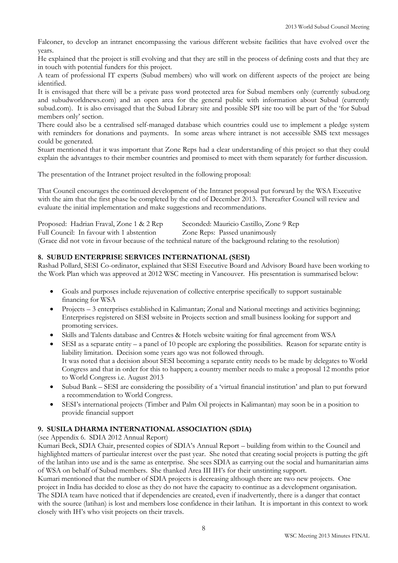Falconer, to develop an intranet encompassing the various different website facilities that have evolved over the years.

He explained that the project is still evolving and that they are still in the process of defining costs and that they are in touch with potential funders for this project.

A team of professional IT experts (Subud members) who will work on different aspects of the project are being identified.

It is envisaged that there will be a private pass word protected area for Subud members only (currently subud.org and subudworldnews.com) and an open area for the general public with information about Subud (currently subud.com). It is also envisaged that the Subud Library site and possible SPI site too will be part of the 'for Subud members only' section.

There could also be a centralised self-managed database which countries could use to implement a pledge system with reminders for donations and payments. In some areas where intranet is not accessible SMS text messages could be generated.

Stuart mentioned that it was important that Zone Reps had a clear understanding of this project so that they could explain the advantages to their member countries and promised to meet with them separately for further discussion.

The presentation of the Intranet project resulted in the following proposal:

That Council encourages the continued development of the Intranet proposal put forward by the WSA Executive with the aim that the first phase be completed by the end of December 2013. Thereafter Council will review and evaluate the initial implementation and make suggestions and recommendations.

| Proposed: Hadrian Fraval, Zone 1 & 2 Rep  | Seconded: Mauricio Castillo, Zone 9 Rep                                                                     |
|-------------------------------------------|-------------------------------------------------------------------------------------------------------------|
| Full Council: In favour with 1 abstention | Zone Reps: Passed unanimously                                                                               |
|                                           | (Grace did not vote in favour because of the technical nature of the background relating to the resolution) |

## **8. SUBUD ENTERPRISE SERVICES INTERNATIONAL (SESI)**

Rashad Pollard, SESI Co-ordinator, explained that SESI Executive Board and Advisory Board have been working to the Work Plan which was approved at 2012 WSC meeting in Vancouver. His presentation is summarised below:

- Goals and purposes include rejuvenation of collective enterprise specifically to support sustainable financing for WSA
- Projects 3 enterprises established in Kalimantan; Zonal and National meetings and activities beginning; Enterprises registered on SESI website in Projects section and small business looking for support and promoting services.
- Skills and Talents database and Centres & Hotels website waiting for final agreement from WSA
- SESI as a separate entity a panel of 10 people are exploring the possibilities. Reason for separate entity is liability limitation. Decision some years ago was not followed through. It was noted that a decision about SESI becoming a separate entity needs to be made by delegates to World Congress and that in order for this to happen; a country member needs to make a proposal 12 months prior to World Congress i.e. August 2013
- Subud Bank SESI are considering the possibility of a 'virtual financial institution' and plan to put forward a recommendation to World Congress.
- SESI's international projects (Timber and Palm Oil projects in Kalimantan) may soon be in a position to provide financial support

# **9. SUSILA DHARMA INTERNATIONAL ASSOCIATION (SDIA)**

(see Appendix 6. SDIA 2012 Annual Report)

Kumari Beck, SDIA Chair, presented copies of SDIA's Annual Report – building from within to the Council and highlighted matters of particular interest over the past year. She noted that creating social projects is putting the gift of the latihan into use and is the same as enterprise. She sees SDIA as carrying out the social and humanitarian aims of WSA on behalf of Subud members. She thanked Area III IH's for their unstinting support.

Kumari mentioned that the number of SDIA projects is decreasing although there are two new projects. One project in India has decided to close as they do not have the capacity to continue as a development organisation. The SDIA team have noticed that if dependencies are created, even if inadvertently, there is a danger that contact with the source (latihan) is lost and members lose confidence in their latihan. It is important in this context to work closely with IH's who visit projects on their travels.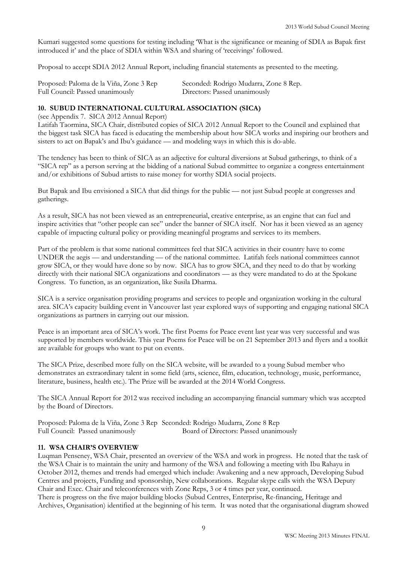Kumari suggested some questions for testing including 'What is the significance or meaning of SDIA as Bapak first introduced it' and the place of SDIA within WSA and sharing of 'receivings' followed.

Proposal to accept SDIA 2012 Annual Report, including financial statements as presented to the meeting.

| Proposed: Paloma de la Viña, Zone 3 Rep | Seconded: Rodrigo Mudarra, Zone 8 Rep. |
|-----------------------------------------|----------------------------------------|
| Full Council: Passed unanimously        | Directors: Passed unanimously          |

#### **10. SUBUD INTERNATIONAL CULTURAL ASSOCIATION (SICA)**

(see Appendix 7. SICA 2012 Annual Report)

Latifah Taormina, SICA Chair, distributed copies of SICA 2012 Annual Report to the Council and explained that the biggest task SICA has faced is educating the membership about how SICA works and inspiring our brothers and sisters to act on Bapak's and Ibu's guidance — and modeling ways in which this is do-able.

The tendency has been to think of SICA as an adjective for cultural diversions at Subud gatherings, to think of a "SICA rep" as a person serving at the bidding of a national Subud committee to organize a congress entertainment and/or exhibitions of Subud artists to raise money for worthy SDIA social projects.

But Bapak and Ibu envisioned a SICA that did things for the public — not just Subud people at congresses and gatherings.

As a result, SICA has not been viewed as an entrepreneurial, creative enterprise, as an engine that can fuel and inspire activities that "other people can see" under the banner of SICA itself. Nor has it been viewed as an agency capable of impacting cultural policy or providing meaningful programs and services to its members.

Part of the problem is that some national committees feel that SICA activities in their country have to come UNDER the aegis — and understanding — of the national committee. Latifah feels national committees cannot grow SICA, or they would have done so by now. SICA has to grow SICA, and they need to do that by working directly with their national SICA organizations and coordinators — as they were mandated to do at the Spokane Congress. To function, as an organization, like Susila Dharma.

SICA is a service organisation providing programs and services to people and organization working in the cultural area. SICA's capacity building event in Vancouver last year explored ways of supporting and engaging national SICA organizations as partners in carrying out our mission.

Peace is an important area of SICA's work. The first Poems for Peace event last year was very successful and was supported by members worldwide. This year Poems for Peace will be on 21 September 2013 and flyers and a toolkit are available for groups who want to put on events.

The SICA Prize, described more fully on the SICA website, will be awarded to a young Subud member who demonstrates an extraordinary talent in some field (arts, science, film, education, technology, music, performance, literature, business, health etc.). The Prize will be awarded at the 2014 World Congress.

The SICA Annual Report for 2012 was received including an accompanying financial summary which was accepted by the Board of Directors.

Proposed: Paloma de la Viña, Zone 3 Rep Seconded: Rodrigo Mudarra, Zone 8 Rep Full Council: Passed unanimously Board of Directors: Passed unanimously

## **11. WSA CHAIR'S OVERVIEW**

Luqman Penseney, WSA Chair, presented an overview of the WSA and work in progress. He noted that the task of the WSA Chair is to maintain the unity and harmony of the WSA and following a meeting with Ibu Rahayu in October 2012, themes and trends had emerged which include: Awakening and a new approach, Developing Subud Centres and projects, Funding and sponsorship, New collaborations. Regular skype calls with the WSA Deputy Chair and Exec. Chair and teleconferences with Zone Reps, 3 or 4 times per year, continued. There is progress on the five major building blocks (Subud Centres, Enterprise, Re-financing, Heritage and Archives, Organisation) identified at the beginning of his term. It was noted that the organisational diagram showed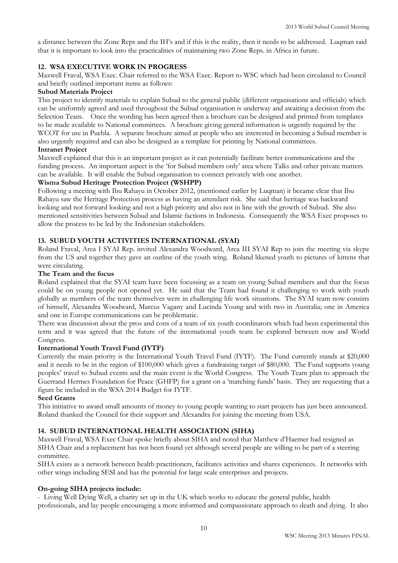a distance between the Zone Reps and the IH's and if this is the reality, then it needs to be addressed. Luqman said that it is important to look into the practicalities of maintaining two Zone Reps. in Africa in future.

# **12. WSA EXECUTIVE WORK IN PROGRESS**

Maxwell Fraval, WSA Exec. Chair referred to the WSA Exec. Report to WSC which had been circulated to Council and briefly outlined important items as follows:

#### **Subud Materials Project**

This project to identify materials to explain Subud to the general public (different organisations and officials) which can be uniformly agreed and used throughout the Subud organisation is underway and awaiting a decision from the Selection Team. Once the wording has been agreed then a brochure can be designed and printed from templates to be made available to National committees. A brochure giving general information is urgently required by the WCOT for use in Puebla. A separate brochure aimed at people who are interested in becoming a Subud member is also urgently required and can also be designed as a template for printing by National committees.

## **Intranet Project**

Maxwell explained that this is an important project as it can potentially facilitate better communications and the funding process. An important aspect is the 'for Subud members only' area where Talks and other private matters can be available. It will enable the Subud organisation to connect privately with one another.

## **Wisma Subud Heritage Protection Project (WSHPP)**

Following a meeting with Ibu Rahayu in October 2012, (mentioned earlier by Luqman) it became clear that Ibu Rahayu saw the Heritage Protection process as having an attendant risk. She said that heritage was backward looking and not forward looking and not a high priority and also not in line with the growth of Subud. She also mentioned sensitivities between Subud and Islamic factions in Indonesia. Consequently the WSA Exec proposes to allow the process to be led by the Indonesian stakeholders.

# **13. SUBUD YOUTH ACTIVITIES INTERNATIONAL (SYAI)**

Roland Fraval, Area I SYAI Rep. invited Alexandra Woodward, Area III SYAI Rep to join the meeting via skype from the US and together they gave an outline of the youth wing. Roland likened youth to pictures of kittens that were circulating.

## **The Team and the focus**

Roland explained that the SYAI team have been focussing as a team on young Subud members and that the focus could be on young people not opened yet. He said that the Team had found it challenging to work with youth globally as members of the team themselves were in challenging life work situations. The SYAI team now consists of himself, Alexandra Woodward, Marcus Vagany and Lucinda Young and with two in Australia; one in America and one in Europe communications can be problematic.

There was discussion about the pros and cons of a team of six youth coordinators which had been experimental this term and it was agreed that the future of the international youth team be explored between now and World Congress.

# **International Youth Travel Fund (IYTF)**

Currently the main priority is the International Youth Travel Fund (IYTF). The Fund currently stands at \$20,000 and it needs to be in the region of \$100,000 which gives a fundraising target of \$80,000. The Fund supports young peoples' travel to Subud events and the main event is the World Congress. The Youth Team plan to approach the Guerrand Hermes Foundation for Peace (GHFP) for a grant on a 'matching funds' basis. They are requesting that a figure be included in the WSA 2014 Budget for IYTF.

## **Seed Grants**

This initiative to award small amounts of money to young people wanting to start projects has just been announced. Roland thanked the Council for their support and Alexandra for joining the meeting from USA.

## **14. SUBUD INTERNATIONAL HEALTH ASSOCIATION (SIHA)**

Maxwell Fraval, WSA Exec Chair spoke briefly about SIHA and noted that Matthew d'Haemer had resigned as SIHA Chair and a replacement has not been found yet although several people are willing to be part of a steering committee.

SIHA exists as a network between health practitioners, facilitates activities and shares experiences. It networks with other wings including SESI and has the potential for large scale enterprises and projects.

## **On-going SIHA projects include:**

- Living Well Dying Well, a charity set up in the UK which works to educate the general public, health professionals, and lay people encouraging a more informed and compassionate approach to death and dying. It also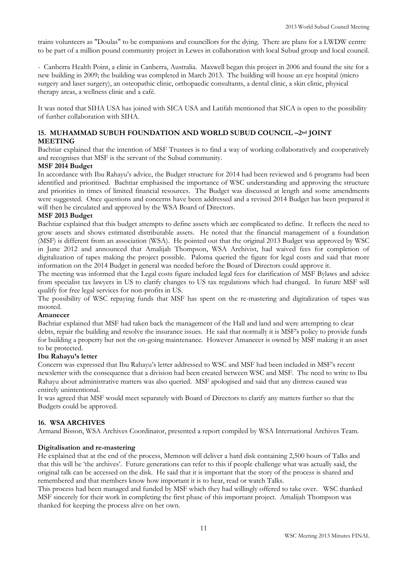trains volunteers as "Doulas" to be companions and councillors for the dying. There are plans for a LWDW centre to be part of a million pound community project in Lewes in collaboration with local Subud group and local council.

- Canberra Health Point, a clinic in Canberra, Australia. Maxwell began this project in 2006 and found the site for a new building in 2009; the building was completed in March 2013. The building will house an eye hospital (micro surgery and laser surgery), an osteopathic clinic, orthopaedic consultants, a dental clinic, a skin clinic, physical therapy areas, a wellness clinic and a café.

It was noted that SIHA USA has joined with SICA USA and Latifah mentioned that SICA is open to the possibility of further collaboration with SIHA.

# **15. MUHAMMAD SUBUH FOUNDATION AND WORLD SUBUD COUNCIL –2nd JOINT MEETING**

Bachtiar explained that the intention of MSF Trustees is to find a way of working collaboratively and cooperatively and recognises that MSF is the servant of the Subud community.

# **MSF 2014 Budget**

In accordance with Ibu Rahayu's advice, the Budget structure for 2014 had been reviewed and 6 programs had been identified and prioritised. Bachtiar emphasised the importance of WSC understanding and approving the structure and priorities in times of limited financial resources. The Budget was discussed at length and some amendments were suggested. Once questions and concerns have been addressed and a revised 2014 Budget has been prepared it will then be circulated and approved by the WSA Board of Directors.

## **MSF 2013 Budget**

Bachtiar explained that this budget attempts to define assets which are complicated to define. It reflects the need to grow assets and shows estimated distributable assets. He noted that the financial management of a foundation (MSF) is different from an association (WSA). He pointed out that the original 2013 Budget was approved by WSC in June 2012 and announced that Amalijah Thompson, WSA Archivist, had waived fees for completion of digitalization of tapes making the project possible. Paloma queried the figure for legal costs and said that more information on the 2014 Budget in general was needed before the Board of Directors could approve it.

The meeting was informed that the Legal costs figure included legal fees for clarification of MSF Bylaws and advice from specialist tax lawyers in US to clarify changes to US tax regulations which had changed. In future MSF will qualify for free legal services for non-profits in US.

The possibility of WSC repaying funds that MSF has spent on the re-mastering and digitalization of tapes was mooted.

## **Amanecer**

Bachtiar explained that MSF had taken back the management of the Hall and land and were attempting to clear debts, repair the building and resolve the insurance issues. He said that normally it is MSF's policy to provide funds for building a property but not the on-going maintenance. However Amanecer is owned by MSF making it an asset to be protected.

## **Ibu Rahayu's letter**

Concern was expressed that Ibu Rahayu's letter addressed to WSC and MSF had been included in MSF's recent newsletter with the consequence that a division had been created between WSC and MSF. The need to write to Ibu Rahayu about administrative matters was also queried. MSF apologised and said that any distress caused was entirely unintentional.

It was agreed that MSF would meet separately with Board of Directors to clarify any matters further so that the Budgets could be approved.

## **16. WSA ARCHIVES**

Armand Bisson, WSA Archives Coordinator, presented a report compiled by WSA International Archives Team.

## **Digitalisation and re-mastering**

He explained that at the end of the process, Memnon will deliver a hard disk containing 2,500 hours of Talks and that this will be 'the archives'. Future generations can refer to this if people challenge what was actually said, the original talk can be accessed on the disk. He said that it is important that the story of the process is shared and remembered and that members know how important it is to hear, read or watch Talks.

This process had been managed and funded by MSF which they had willingly offered to take over. WSC thanked MSF sincerely for their work in completing the first phase of this important project. Amalijah Thompson was thanked for keeping the process alive on her own.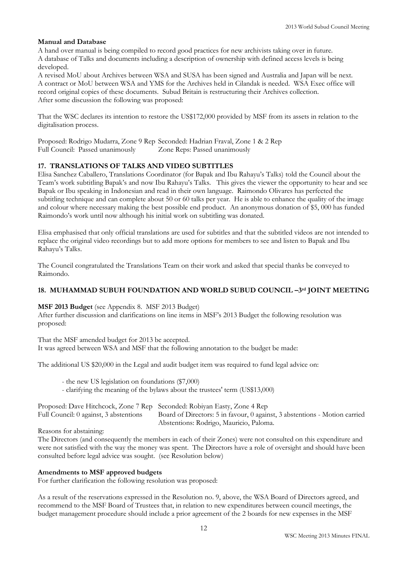## **Manual and Database**

A hand over manual is being compiled to record good practices for new archivists taking over in future. A database of Talks and documents including a description of ownership with defined access levels is being developed.

A revised MoU about Archives between WSA and SUSA has been signed and Australia and Japan will be next. A contract or MoU between WSA and YMS for the Archives held in Cilandak is needed. WSA Exec office will record original copies of these documents. Subud Britain is restructuring their Archives collection. After some discussion the following was proposed:

That the WSC declares its intention to restore the US\$172,000 provided by MSF from its assets in relation to the digitalisation process.

Proposed: Rodrigo Mudarra, Zone 9 Rep Seconded: Hadrian Fraval, Zone 1 & 2 Rep Full Council: Passed unanimously Zone Reps: Passed unanimously

# **17. TRANSLATIONS OF TALKS AND VIDEO SUBTITLES**

Elisa Sanchez Caballero, Translations Coordinator (for Bapak and Ibu Rahayu's Talks) told the Council about the Team's work subtitling Bapak's and now Ibu Rahayu's Talks. This gives the viewer the opportunity to hear and see Bapak or Ibu speaking in Indonesian and read in their own language. Raimondo Olivares has perfected the subtitling technique and can complete about 50 or 60 talks per year. He is able to enhance the quality of the image and colour where necessary making the best possible end product. An anonymous donation of \$5, 000 has funded Raimondo's work until now although his initial work on subtitling was donated.

Elisa emphasised that only official translations are used for subtitles and that the subtitled videos are not intended to replace the original video recordings but to add more options for members to see and listen to Bapak and Ibu Rahayu's Talks.

The Council congratulated the Translations Team on their work and asked that special thanks be conveyed to Raimondo.

## **18. MUHAMMAD SUBUH FOUNDATION AND WORLD SUBUD COUNCIL –3rd JOINT MEETING**

**MSF 2013 Budget** (see Appendix 8. MSF 2013 Budget)

After further discussion and clarifications on line items in MSF's 2013 Budget the following resolution was proposed:

That the MSF amended budget for 2013 be accepted. It was agreed between WSA and MSF that the following annotation to the budget be made:

The additional US \$20,000 in the Legal and audit budget item was required to fund legal advice on:

- the new US legislation on foundations (\$7,000)

- clarifying the meaning of the bylaws about the trustees' term (US\$13,000)

| Proposed: Dave Hitchcock, Zone 7 Rep Seconded: Robiyan Easty, Zone 4 Rep |                                                                            |
|--------------------------------------------------------------------------|----------------------------------------------------------------------------|
| Full Council: 0 against, 3 abstentions                                   | Board of Directors: 5 in favour, 0 against, 3 abstentions - Motion carried |
|                                                                          | Abstentions: Rodrigo, Mauricio, Paloma.                                    |

Reasons for abstaining:

The Directors (and consequently the members in each of their Zones) were not consulted on this expenditure and were not satisfied with the way the money was spent. The Directors have a role of oversight and should have been consulted before legal advice was sought. (see Resolution below)

## **Amendments to MSF approved budgets**

For further clarification the following resolution was proposed:

As a result of the reservations expressed in the Resolution no. 9, above, the WSA Board of Directors agreed, and recommend to the MSF Board of Trustees that, in relation to new expenditures between council meetings, the budget management procedure should include a prior agreement of the 2 boards for new expenses in the MSF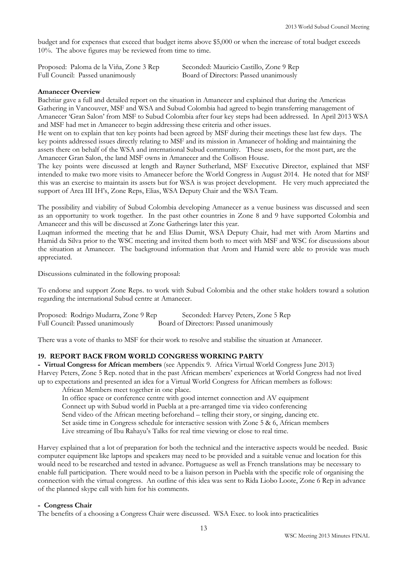budget and for expenses that exceed that budget items above \$5,000 or when the increase of total budget exceeds 10%. The above figures may be reviewed from time to time.

Proposed: Paloma de la Viña, Zone 3 Rep Seconded: Mauricio Castillo, Zone 9 Rep Full Council: Passed unanimously Board of Directors: Passed unanimously

## **Amanecer Overview**

Bachtiar gave a full and detailed report on the situation in Amanecer and explained that during the Americas Gathering in Vancouver, MSF and WSA and Subud Colombia had agreed to begin transferring management of Amanecer 'Gran Salon' from MSF to Subud Colombia after four key steps had been addressed. In April 2013 WSA and MSF had met in Amanecer to begin addressing these criteria and other issues.

He went on to explain that ten key points had been agreed by MSF during their meetings these last few days. The key points addressed issues directly relating to MSF and its mission in Amanecer of holding and maintaining the assets there on behalf of the WSA and international Subud community. These assets, for the most part, are the Amanecer Gran Salon, the land MSF owns in Amanecer and the Collison House.

The key points were discussed at length and Rayner Sutherland, MSF Executive Director, explained that MSF intended to make two more visits to Amanecer before the World Congress in August 2014. He noted that for MSF this was an exercise to maintain its assets but for WSA is was project development. He very much appreciated the support of Area III IH's, Zone Reps, Elias, WSA Deputy Chair and the WSA Team.

The possibility and viability of Subud Colombia developing Amanecer as a venue business was discussed and seen as an opportunity to work together. In the past other countries in Zone 8 and 9 have supported Colombia and Amanecer and this will be discussed at Zone Gatherings later this year.

Luqman informed the meeting that he and Elias Dumit, WSA Deputy Chair, had met with Arom Martins and Hamid da Silva prior to the WSC meeting and invited them both to meet with MSF and WSC for discussions about the situation at Amanecer. The background information that Arom and Hamid were able to provide was much appreciated.

Discussions culminated in the following proposal:

To endorse and support Zone Reps. to work with Subud Colombia and the other stake holders toward a solution regarding the international Subud centre at Amanecer.

Proposed: Rodrigo Mudarra, Zone 9 Rep Seconded: Harvey Peters, Zone 5 Rep Full Council: Passed unanimously Board of Directors: Passed unanimously

There was a vote of thanks to MSF for their work to resolve and stabilise the situation at Amanecer.

## **19. REPORT BACK FROM WORLD CONGRESS WORKING PARTY**

**- Virtual Congress for African members** (see Appendix 9. Africa Virtual World Congress June 2013) Harvey Peters, Zone 5 Rep. noted that in the past African members' experiences at World Congress had not lived up to expectations and presented an idea for a Virtual World Congress for African members as follows:

African Members meet together in one place.

In office space or conference centre with good internet connection and AV equipment Connect up with Subud world in Puebla at a pre-arranged time via video conferencing Send video of the African meeting beforehand – telling their story, or singing, dancing etc. Set aside time in Congress schedule for interactive session with Zone 5 & 6, African members

Live streaming of Ibu Rahayu's Talks for real time viewing or close to real time.

Harvey explained that a lot of preparation for both the technical and the interactive aspects would be needed. Basic computer equipment like laptops and speakers may need to be provided and a suitable venue and location for this would need to be researched and tested in advance. Portuguese as well as French translations may be necessary to enable full participation. There would need to be a liaison person in Puebla with the specific role of organising the connection with the virtual congress. An outline of this idea was sent to Rida Liobo Loote, Zone 6 Rep in advance of the planned skype call with him for his comments.

## **- Congress Chair**

The benefits of a choosing a Congress Chair were discussed. WSA Exec. to look into practicalities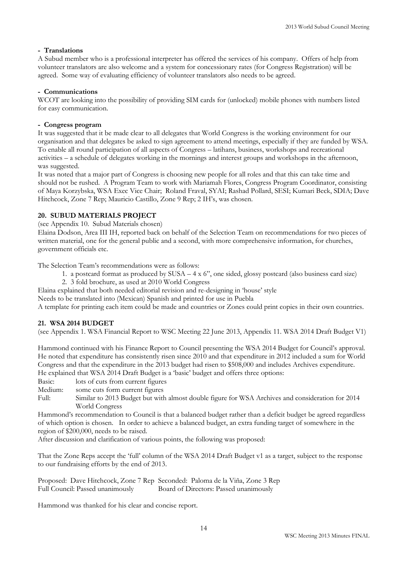# **- Translations**

A Subud member who is a professional interpreter has offered the services of his company. Offers of help from volunteer translators are also welcome and a system for concessionary rates (for Congress Registration) will be agreed. Some way of evaluating efficiency of volunteer translators also needs to be agreed.

# **- Communications**

WCOT are looking into the possibility of providing SIM cards for (unlocked) mobile phones with numbers listed for easy communication.

## **- Congress program**

It was suggested that it be made clear to all delegates that World Congress is the working environment for our organisation and that delegates be asked to sign agreement to attend meetings, especially if they are funded by WSA. To enable all round participation of all aspects of Congress – latihans, business, workshops and recreational activities – a schedule of delegates working in the mornings and interest groups and workshops in the afternoon, was suggested.

It was noted that a major part of Congress is choosing new people for all roles and that this can take time and should not be rushed. A Program Team to work with Mariamah Flores, Congress Program Coordinator, consisting of Maya Korzybska, WSA Exec Vice Chair; Roland Fraval, SYAI; Rashad Pollard, SESI; Kumari Beck, SDIA; Dave Hitchcock, Zone 7 Rep; Mauricio Castillo, Zone 9 Rep; 2 IH's, was chosen.

# **20. SUBUD MATERIALS PROJECT**

(see Appendix 10. Subud Materials chosen)

Elaina Dodson, Area III IH, reported back on behalf of the Selection Team on recommendations for two pieces of written material, one for the general public and a second, with more comprehensive information, for churches, government officials etc.

The Selection Team's recommendations were as follows:

- 1. a postcard format as produced by SUSA 4 x 6", one sided, glossy postcard (also business card size)
- 2. 3 fold brochure, as used at 2010 World Congress
- Elaina explained that both needed editorial revision and re-designing in 'house' style

Needs to be translated into (Mexican) Spanish and printed for use in Puebla

A template for printing each item could be made and countries or Zones could print copies in their own countries.

## **21. WSA 2014 BUDGET**

(see Appendix 1. WSA Financial Report to WSC Meeting 22 June 2013, Appendix 11. WSA 2014 Draft Budget V1)

Hammond continued with his Finance Report to Council presenting the WSA 2014 Budget for Council's approval. He noted that expenditure has consistently risen since 2010 and that expenditure in 2012 included a sum for World Congress and that the expenditure in the 2013 budget had risen to \$508,000 and includes Archives expenditure. He explained that WSA 2014 Draft Budget is a 'basic' budget and offers three options:

Basic: lots of cuts from current figures

Medium: some cuts form current figures

Full: Similar to 2013 Budget but with almost double figure for WSA Archives and consideration for 2014 World Congress

Hammond's recommendation to Council is that a balanced budget rather than a deficit budget be agreed regardless of which option is chosen. In order to achieve a balanced budget, an extra funding target of somewhere in the region of \$200,000, needs to be raised.

After discussion and clarification of various points, the following was proposed:

That the Zone Reps accept the 'full' column of the WSA 2014 Draft Budget v1 as a target, subject to the response to our fundraising efforts by the end of 2013.

Proposed: Dave Hitchcock, Zone 7 Rep Seconded: Paloma de la Viña, Zone 3 Rep Full Council: Passed unanimously Board of Directors: Passed unanimously

Hammond was thanked for his clear and concise report.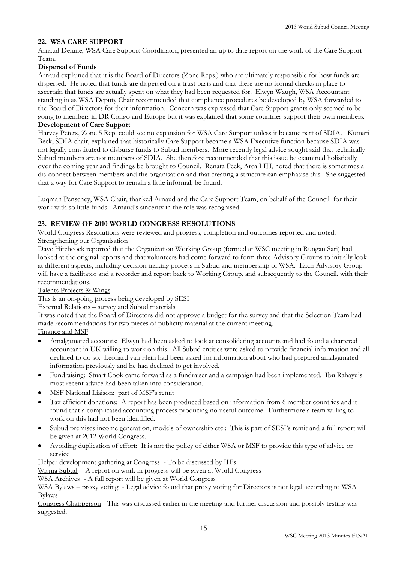# **22. WSA CARE SUPPORT**

Arnaud Delune, WSA Care Support Coordinator, presented an up to date report on the work of the Care Support Team.

# **Dispersal of Funds**

Arnaud explained that it is the Board of Directors (Zone Reps.) who are ultimately responsible for how funds are dispersed. He noted that funds are dispersed on a trust basis and that there are no formal checks in place to ascertain that funds are actually spent on what they had been requested for. Elwyn Waugh, WSA Accountant standing in as WSA Deputy Chair recommended that compliance procedures be developed by WSA forwarded to the Board of Directors for their information. Concern was expressed that Care Support grants only seemed to be going to members in DR Congo and Europe but it was explained that some countries support their own members.

## **Development of Care Support**

Harvey Peters, Zone 5 Rep. could see no expansion for WSA Care Support unless it became part of SDIA. Kumari Beck, SDIA chair, explained that historically Care Support became a WSA Executive function because SDIA was not legally constituted to disburse funds to Subud members. More recently legal advice sought said that technically Subud members are not members of SDIA. She therefore recommended that this issue be examined holistically over the coming year and findings be brought to Council. Renata Peek, Area I IH, noted that there is sometimes a dis-connect between members and the organisation and that creating a structure can emphasise this. She suggested that a way for Care Support to remain a little informal, be found.

Luqman Penseney, WSA Chair, thanked Arnaud and the Care Support Team, on behalf of the Council for their work with so little funds. Arnaud's sincerity in the role was recognised.

# **23. REVIEW OF 2010 WORLD CONGRESS RESOLUTIONS**

World Congress Resolutions were reviewed and progress, completion and outcomes reported and noted. Strengthening our Organisation

Dave Hitchcock reported that the Organization Working Group (formed at WSC meeting in Rungan Sari) had looked at the original reports and that volunteers had come forward to form three Advisory Groups to initially look at different aspects, including decision making process in Subud and membership of WSA. Each Advisory Group will have a facilitator and a recorder and report back to Working Group, and subsequently to the Council, with their recommendations.

## Talents Projects & Wings

This is an on-going process being developed by SESI

## External Relations – survey and Subud materials

It was noted that the Board of Directors did not approve a budget for the survey and that the Selection Team had made recommendations for two pieces of publicity material at the current meeting.

# Finance and MSF

- Amalgamated accounts: Elwyn had been asked to look at consolidating accounts and had found a chartered accountant in UK willing to work on this. All Subud entities were asked to provide financial information and all declined to do so. Leonard van Hein had been asked for information about who had prepared amalgamated information previously and he had declined to get involved.
- Fundraising: Stuart Cook came forward as a fundraiser and a campaign had been implemented. Ibu Rahayu's most recent advice had been taken into consideration.
- MSF National Liaison: part of MSF's remit
- Tax efficient donations: A report has been produced based on information from 6 member countries and it found that a complicated accounting process producing no useful outcome. Furthermore a team willing to work on this had not been identified.
- Subud premises income generation, models of ownership etc.: This is part of SESI's remit and a full report will be given at 2012 World Congress.
- Avoiding duplication of effort: It is not the policy of either WSA or MSF to provide this type of advice or service

Helper development gathering at Congress - To be discussed by IH's

Wisma Subud - A report on work in progress will be given at World Congress

WSA Archives - A full report will be given at World Congress

WSA Bylaws – proxy voting - Legal advice found that proxy voting for Directors is not legal according to WSA Bylaws

Congress Chairperson - This was discussed earlier in the meeting and further discussion and possibly testing was suggested.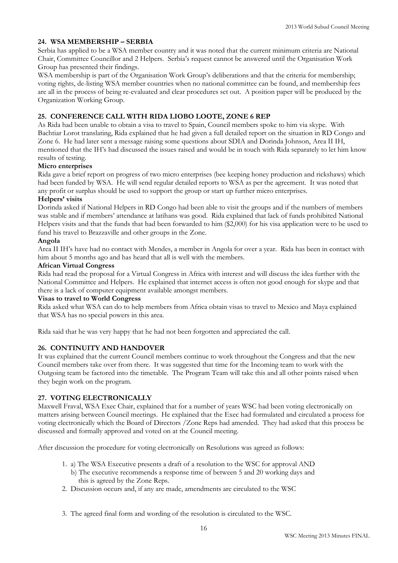# **24. WSA MEMBERSHIP – SERBIA**

Serbia has applied to be a WSA member country and it was noted that the current minimum criteria are National Chair, Committee Councillor and 2 Helpers. Serbia's request cannot be answered until the Organisation Work Group has presented their findings.

WSA membership is part of the Organisation Work Group's deliberations and that the criteria for membership; voting rights, de-listing WSA member countries when no national committee can be found, and membership fees are all in the process of being re-evaluated and clear procedures set out. A position paper will be produced by the Organization Working Group.

# **25. CONFERENCE CALL WITH RIDA LIOBO LOOTE, ZONE 6 REP**

As Rida had been unable to obtain a visa to travel to Spain, Council members spoke to him via skype. With Bachtiar Lorot translating, Rida explained that he had given a full detailed report on the situation in RD Congo and Zone 6. He had later sent a message raising some questions about SDIA and Dorinda Johnson, Area II IH, mentioned that the IH's had discussed the issues raised and would be in touch with Rida separately to let him know results of testing.

## **Micro enterprises**

Rida gave a brief report on progress of two micro enterprises (bee keeping honey production and rickshaws) which had been funded by WSA. He will send regular detailed reports to WSA as per the agreement. It was noted that any profit or surplus should be used to support the group or start up further micro enterprises.

#### **Helpers' visits**

Dorinda asked if National Helpers in RD Congo had been able to visit the groups and if the numbers of members was stable and if members' attendance at latihans was good. Rida explained that lack of funds prohibited National Helpers visits and that the funds that had been forwarded to him (\$2,000) for his visa application were to be used to fund his travel to Brazzaville and other groups in the Zone.

#### **Angola**

Area II IH's have had no contact with Mendes, a member in Angola for over a year. Rida has been in contact with him about 5 months ago and has heard that all is well with the members.

#### **African Virtual Congress**

Rida had read the proposal for a Virtual Congress in Africa with interest and will discuss the idea further with the National Committee and Helpers. He explained that internet access is often not good enough for skype and that there is a lack of computer equipment available amongst members.

#### **Visas to travel to World Congress**

Rida asked what WSA can do to help members from Africa obtain visas to travel to Mexico and Maya explained that WSA has no special powers in this area.

Rida said that he was very happy that he had not been forgotten and appreciated the call.

## **26. CONTINUITY AND HANDOVER**

It was explained that the current Council members continue to work throughout the Congress and that the new Council members take over from there. It was suggested that time for the Incoming team to work with the Outgoing team be factored into the timetable. The Program Team will take this and all other points raised when they begin work on the program.

## **27. VOTING ELECTRONICALLY**

Maxwell Fraval, WSA Exec Chair, explained that for a number of years WSC had been voting electronically on matters arising between Council meetings. He explained that the Exec had formulated and circulated a process for voting electronically which the Board of Directors /Zone Reps had amended. They had asked that this process be discussed and formally approved and voted on at the Council meeting.

After discussion the procedure for voting electronically on Resolutions was agreed as follows:

- 1. a) The WSA Executive presents a draft of a resolution to the WSC for approval AND
	- b) The executive recommends a response time of between 5 and 20 working days and this is agreed by the Zone Reps.
- 2. Discussion occurs and, if any are made, amendments are circulated to the WSC
- 3. The agreed final form and wording of the resolution is circulated to the WSC.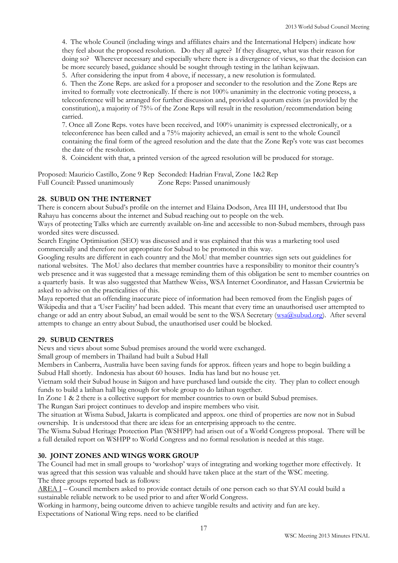4. The whole Council (including wings and affiliates chairs and the International Helpers) indicate how they feel about the proposed resolution. Do they all agree? If they disagree, what was their reason for doing so? Wherever necessary and especially where there is a divergence of views, so that the decision can be more securely based, guidance should be sought through testing in the latihan kejiwaan.

5. After considering the input from 4 above, if necessary, a new resolution is formulated.

6. Then the Zone Reps. are asked for a proposer and seconder to the resolution and the Zone Reps are invited to formally vote electronically. If there is not 100% unanimity in the electronic voting process, a teleconference will be arranged for further discussion and, provided a quorum exists (as provided by the constitution), a majority of 75% of the Zone Reps will result in the resolution/recommendation being carried.

7. Once all Zone Reps. votes have been received, and 100% unanimity is expressed electronically, or a teleconference has been called and a 75% majority achieved, an email is sent to the whole Council containing the final form of the agreed resolution and the date that the Zone Rep's vote was cast becomes the date of the resolution.

8. Coincident with that, a printed version of the agreed resolution will be produced for storage.

Proposed: Mauricio Castillo, Zone 9 Rep Seconded: Hadrian Fraval, Zone 1&2 Rep Full Council: Passed unanimously Zone Reps: Passed unanimously

## **28. SUBUD ON THE INTERNET**

There is concern about Subud's profile on the internet and Elaina Dodson, Area III IH, understood that Ibu Rahayu has concerns about the internet and Subud reaching out to people on the web.

Ways of protecting Talks which are currently available on-line and accessible to non-Subud members, through pass worded sites were discussed.

Search Engine Optimisation (SEO) was discussed and it was explained that this was a marketing tool used commercially and therefore not appropriate for Subud to be promoted in this way.

Googling results are different in each country and the MoU that member countries sign sets out guidelines for national websites. The MoU also declares that member countries have a responsibility to monitor their country's web presence and it was suggested that a message reminding them of this obligation be sent to member countries on a quarterly basis. It was also suggested that Matthew Weiss, WSA Internet Coordinator, and Hassan Czwiertnia be asked to advise on the practicalities of this.

Maya reported that an offending inaccurate piece of information had been removed from the English pages of Wikipedia and that a 'User Facility' had been added. This meant that every time an unauthorised user attempted to change or add an entry about Subud, an email would be sent to the WSA Secretary [\(wsa@subud.org\)](mailto:wsa@subud.org). After several attempts to change an entry about Subud, the unauthorised user could be blocked.

## **29. SUBUD CENTRES**

News and views about some Subud premises around the world were exchanged.

Small group of members in Thailand had built a Subud Hall

Members in Canberra, Australia have been saving funds for approx. fifteen years and hope to begin building a Subud Hall shortly. Indonesia has about 60 houses. India has land but no house yet.

Vietnam sold their Subud house in Saigon and have purchased land outside the city. They plan to collect enough funds to build a latihan hall big enough for whole group to do latihan together.

In Zone 1 & 2 there is a collective support for member countries to own or build Subud premises.

The Rungan Sari project continues to develop and inspire members who visit.

The situation at Wisma Subud, Jakarta is complicated and approx. one third of properties are now not in Subud ownership. It is understood that there are ideas for an enterprising approach to the centre.

The Wisma Subud Heritage Protection Plan (WSHPP) had arisen out of a World Congress proposal. There will be a full detailed report on WSHPP to World Congress and no formal resolution is needed at this stage.

## **30. JOINT ZONES AND WINGS WORK GROUP**

The Council had met in small groups to 'workshop' ways of integrating and working together more effectively. It was agreed that this session was valuable and should have taken place at the start of the WSC meeting. The three groups reported back as follows:

AREA I – Council members asked to provide contact details of one person each so that SYAI could build a sustainable reliable network to be used prior to and after World Congress.

Working in harmony, being outcome driven to achieve tangible results and activity and fun are key. Expectations of National Wing reps. need to be clarified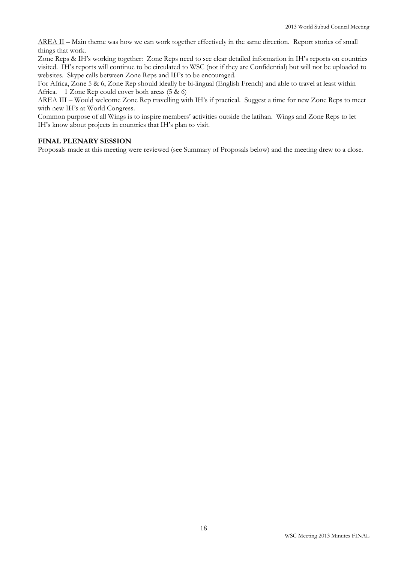AREA II – Main theme was how we can work together effectively in the same direction. Report stories of small things that work.

Zone Reps & IH's working together: Zone Reps need to see clear detailed information in IH's reports on countries visited. IH's reports will continue to be circulated to WSC (not if they are Confidential) but will not be uploaded to websites. Skype calls between Zone Reps and IH's to be encouraged.

For Africa, Zone 5 & 6, Zone Rep should ideally be bi-lingual (English French) and able to travel at least within Africa. 1 Zone Rep could cover both areas (5 & 6)

AREA III – Would welcome Zone Rep travelling with IH's if practical. Suggest a time for new Zone Reps to meet with new IH's at World Congress.

Common purpose of all Wings is to inspire members' activities outside the latihan. Wings and Zone Reps to let IH's know about projects in countries that IH's plan to visit.

#### **FINAL PLENARY SESSION**

Proposals made at this meeting were reviewed (see Summary of Proposals below) and the meeting drew to a close.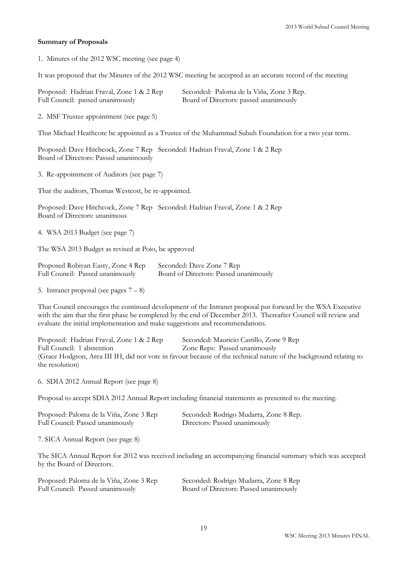#### **Summary of Proposals**

1. Minutes of the 2012 WSC meeting (see page 4)

It was proposed that the Minutes of the 2012 WSC meeting be accepted as an accurate record of the meeting

| Proposed: Hadrian Fraval, Zone 1 & 2 Rep | Seconded: Paloma de la Viña, Zone 3 Rep. |
|------------------------------------------|------------------------------------------|
| Full Council: passed unanimously         | Board of Directors: passed unanimously   |

2. MSF Trustee appointment (see page 5)

That Michael Heathcote be appointed as a Trustee of the Muhammad Subuh Foundation for a two year term.

Proposed: Dave Hitchcock, Zone 7 Rep Seconded: Hadrian Fraval, Zone 1 & 2 Rep Board of Directors: Passed unanimously

3. Re-appointment of Auditors (see page 7)

That the auditors, Thomas Westcott, be re-appointed.

Proposed: Dave Hitchcock, Zone 7 Rep Seconded: Hadrian Fraval, Zone 1 & 2 Rep Board of Directors: unanimous

4. WSA 2013 Budget (see page 7)

The WSA 2013 Budget as revised at Poio, be approved

| Proposed Robiyan Easty, Zone 4 Rep | Seconded: Dave Zone 7 Rep              |
|------------------------------------|----------------------------------------|
| Full Council: Passed unanimously   | Board of Directors: Passed unanimously |

5. Intranet proposal (see pages  $7 - 8$ )

That Council encourages the continued development of the Intranet proposal put forward by the WSA Executive with the aim that the first phase be completed by the end of December 2013. Thereafter Council will review and evaluate the initial implementation and make suggestions and recommendations.

Proposed: Hadrian Fraval, Zone 1 & 2 Rep Seconded: Mauricio Castillo, Zone 9 Rep Full Council: 1 abstention Zone Reps: Passed unanimously (Grace Hodgson, Area III IH, did not vote in favour because of the technical nature of the background relating to the resolution)

6. SDIA 2012 Annual Report (see page 8)

Proposal to accept SDIA 2012 Annual Report including financial statements as presented to the meeting.

| Proposed: Paloma de la Viña, Zone 3 Rep | Seconded: Rodrigo Mudarra, Zone 8 Rep. |
|-----------------------------------------|----------------------------------------|
| Full Council: Passed unanimously        | Directors: Passed unanimously          |

7. SICA Annual Report (see page 8)

The SICA Annual Report for 2012 was received including an accompanying financial summary which was accepted by the Board of Directors.

| Proposed: Paloma de la Viña, Zone 3 Rep | Seconded: Rodrigo Mudarra, Zone 8 Rep  |
|-----------------------------------------|----------------------------------------|
| Full Council: Passed unanimously        | Board of Directors: Passed unanimously |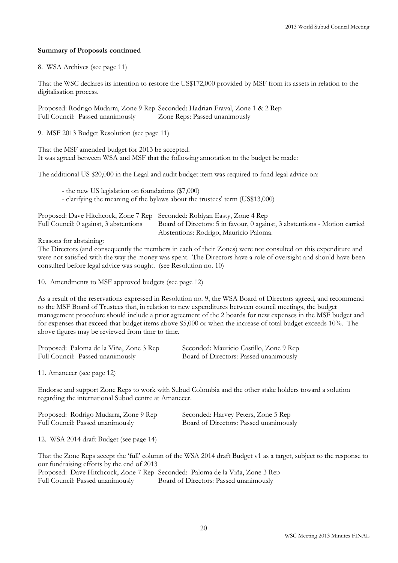## **Summary of Proposals continued**

8. WSA Archives (see page 11)

That the WSC declares its intention to restore the US\$172,000 provided by MSF from its assets in relation to the digitalisation process.

Proposed: Rodrigo Mudarra, Zone 9 Rep Seconded: Hadrian Fraval, Zone 1 & 2 Rep Full Council: Passed unanimously Zone Reps: Passed unanimously

9. MSF 2013 Budget Resolution (see page 11)

That the MSF amended budget for 2013 be accepted. It was agreed between WSA and MSF that the following annotation to the budget be made:

The additional US \$20,000 in the Legal and audit budget item was required to fund legal advice on:

- the new US legislation on foundations (\$7,000) - clarifying the meaning of the bylaws about the trustees' term (US\$13,000)

| Proposed: Dave Hitchcock, Zone 7 Rep Seconded: Robiyan Easty, Zone 4 Rep |                                                                            |
|--------------------------------------------------------------------------|----------------------------------------------------------------------------|
| Full Council: 0 against, 3 abstentions                                   | Board of Directors: 5 in favour, 0 against, 3 abstentions - Motion carried |
|                                                                          | Abstentions: Rodrigo, Mauricio Paloma.                                     |

Reasons for abstaining:

The Directors (and consequently the members in each of their Zones) were not consulted on this expenditure and were not satisfied with the way the money was spent. The Directors have a role of oversight and should have been consulted before legal advice was sought. (see Resolution no. 10)

10. Amendments to MSF approved budgets (see page 12)

As a result of the reservations expressed in Resolution no. 9, the WSA Board of Directors agreed, and recommend to the MSF Board of Trustees that, in relation to new expenditures between council meetings, the budget management procedure should include a prior agreement of the 2 boards for new expenses in the MSF budget and for expenses that exceed that budget items above \$5,000 or when the increase of total budget exceeds 10%. The above figures may be reviewed from time to time.

| Proposed: Paloma de la Viña, Zone 3 Rep | Seconded: Mauricio Castillo, Zone 9 Rep |
|-----------------------------------------|-----------------------------------------|
| Full Council: Passed unanimously        | Board of Directors: Passed unanimously  |

11. Amanecer (see page 12)

Endorse and support Zone Reps to work with Subud Colombia and the other stake holders toward a solution regarding the international Subud centre at Amanecer.

| Proposed: Rodrigo Mudarra, Zone 9 Rep | Seconded: Harvey Peters, Zone 5 Rep    |
|---------------------------------------|----------------------------------------|
| Full Council: Passed unanimously      | Board of Directors: Passed unanimously |

12. WSA 2014 draft Budget (see page 14)

That the Zone Reps accept the 'full' column of the WSA 2014 draft Budget v1 as a target, subject to the response to our fundraising efforts by the end of 2013 Proposed: Dave Hitchcock, Zone 7 Rep Seconded: Paloma de la Viña, Zone 3 Rep

Full Council: Passed unanimously Board of Directors: Passed unanimously